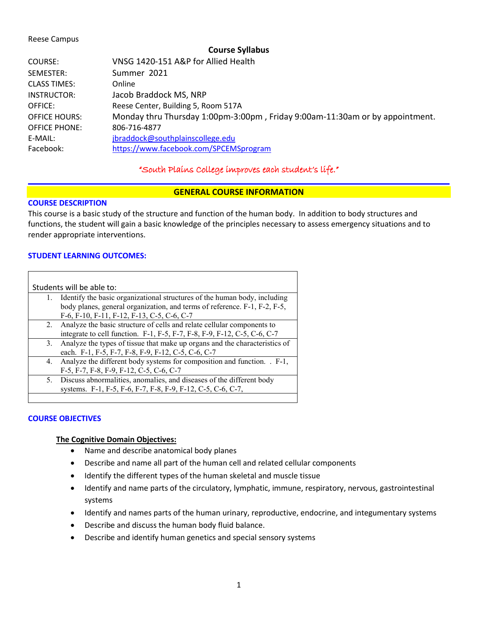#### Reese Campus

#### **Course Syllabus**

| COURSE:              | VNSG 1420-151 A&P for Allied Health                                          |
|----------------------|------------------------------------------------------------------------------|
| SEMESTER:            | Summer 2021                                                                  |
| <b>CLASS TIMES:</b>  | Online                                                                       |
| INSTRUCTOR:          | Jacob Braddock MS, NRP                                                       |
| OFFICE:              | Reese Center, Building 5, Room 517A                                          |
| <b>OFFICE HOURS:</b> | Monday thru Thursday 1:00pm-3:00pm, Friday 9:00am-11:30am or by appointment. |
| OFFICE PHONE:        | 806-716-4877                                                                 |
| E-MAIL:              | jbraddock@southplainscollege.edu                                             |
| Facebook:            | https://www.facebook.com/SPCEMSprogram                                       |
|                      |                                                                              |

## "South Plains College improves each student's life."

### **GENERAL COURSE INFORMATION**

#### **COURSE DESCRIPTION**

This course is a basic study of the structure and function of the human body. In addition to body structures and functions, the student will gain a basic knowledge of the principles necessary to assess emergency situations and to render appropriate interventions.

### **STUDENT LEARNING OUTCOMES:**

| Students will be able to: |                                                                            |  |  |
|---------------------------|----------------------------------------------------------------------------|--|--|
| 1.                        | Identify the basic organizational structures of the human body, including  |  |  |
|                           | body planes, general organization, and terms of reference. F-1, F-2, F-5,  |  |  |
|                           | F-6, F-10, F-11, F-12, F-13, C-5, C-6, C-7                                 |  |  |
|                           | 2. Analyze the basic structure of cells and relate cellular components to  |  |  |
|                           | integrate to cell function. F-1, F-5, F-7, F-8, F-9, F-12, C-5, C-6, C-7   |  |  |
| 3.                        | Analyze the types of tissue that make up organs and the characteristics of |  |  |
|                           | each. F-1, F-5, F-7, F-8, F-9, F-12, C-5, C-6, C-7                         |  |  |
|                           | 4. Analyze the different body systems for composition and function. . F-1, |  |  |
|                           | F-5, F-7, F-8, F-9, F-12, C-5, C-6, C-7                                    |  |  |
|                           | 5. Discuss abnormalities, anomalies, and diseases of the different body    |  |  |
|                           | systems. F-1, F-5, F-6, F-7, F-8, F-9, F-12, C-5, C-6, C-7,                |  |  |
|                           |                                                                            |  |  |

### **COURSE OBJECTIVES**

#### **The Cognitive Domain Objectives:**

- Name and describe anatomical body planes
- Describe and name all part of the human cell and related cellular components
- Identify the different types of the human skeletal and muscle tissue
- Identify and name parts of the circulatory, lymphatic, immune, respiratory, nervous, gastrointestinal systems
- Identify and names parts of the human urinary, reproductive, endocrine, and integumentary systems
- Describe and discuss the human body fluid balance.
- Describe and identify human genetics and special sensory systems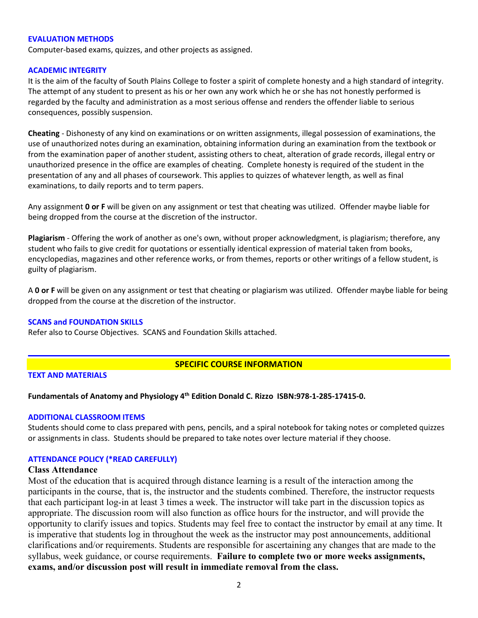#### **EVALUATION METHODS**

Computer-based exams, quizzes, and other projects as assigned.

#### **ACADEMIC INTEGRITY**

It is the aim of the faculty of South Plains College to foster a spirit of complete honesty and a high standard of integrity. The attempt of any student to present as his or her own any work which he or she has not honestly performed is regarded by the faculty and administration as a most serious offense and renders the offender liable to serious consequences, possibly suspension.

**Cheating** - Dishonesty of any kind on examinations or on written assignments, illegal possession of examinations, the use of unauthorized notes during an examination, obtaining information during an examination from the textbook or from the examination paper of another student, assisting others to cheat, alteration of grade records, illegal entry or unauthorized presence in the office are examples of cheating. Complete honesty is required of the student in the presentation of any and all phases of coursework. This applies to quizzes of whatever length, as well as final examinations, to daily reports and to term papers.

Any assignment **0 or F** will be given on any assignment or test that cheating was utilized. Offender maybe liable for being dropped from the course at the discretion of the instructor.

**Plagiarism** - Offering the work of another as one's own, without proper acknowledgment, is plagiarism; therefore, any student who fails to give credit for quotations or essentially identical expression of material taken from books, encyclopedias, magazines and other reference works, or from themes, reports or other writings of a fellow student, is guilty of plagiarism.

A **0 or F** will be given on any assignment or test that cheating or plagiarism was utilized. Offender maybe liable for being dropped from the course at the discretion of the instructor.

#### **SCANS and FOUNDATION SKILLS**

Refer also to Course Objectives. SCANS and Foundation Skills attached.

### **SPECIFIC COURSE INFORMATION**

### **TEXT AND MATERIALS**

### **Fundamentals of Anatomy and Physiology 4th Edition Donald C. Rizzo ISBN:978-1-285-17415-0.**

#### **ADDITIONAL CLASSROOM ITEMS**

Students should come to class prepared with pens, pencils, and a spiral notebook for taking notes or completed quizzes or assignments in class. Students should be prepared to take notes over lecture material if they choose.

### **ATTENDANCE POLICY (\*READ CAREFULLY)**

### **Class Attendance**

Most of the education that is acquired through distance learning is a result of the interaction among the participants in the course, that is, the instructor and the students combined. Therefore, the instructor requests that each participant log-in at least 3 times a week. The instructor will take part in the discussion topics as appropriate. The discussion room will also function as office hours for the instructor, and will provide the opportunity to clarify issues and topics. Students may feel free to contact the instructor by email at any time. It is imperative that students log in throughout the week as the instructor may post announcements, additional clarifications and/or requirements. Students are responsible for ascertaining any changes that are made to the syllabus, week guidance, or course requirements. **Failure to complete two or more weeks assignments, exams, and/or discussion post will result in immediate removal from the class.**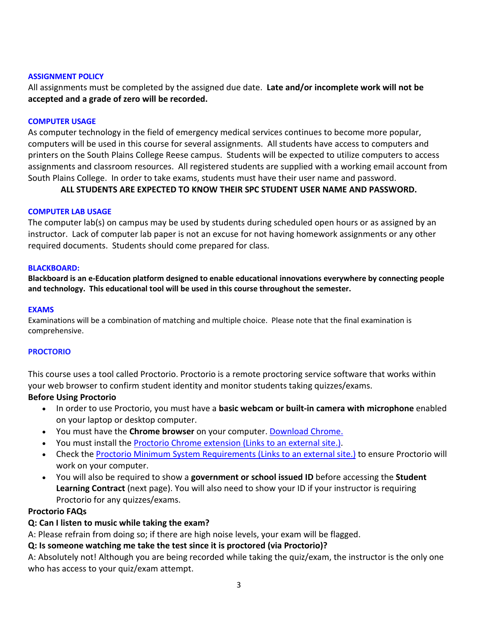### **ASSIGNMENT POLICY**

All assignments must be completed by the assigned due date. **Late and/or incomplete work will not be accepted and a grade of zero will be recorded.**

### **COMPUTER USAGE**

As computer technology in the field of emergency medical services continues to become more popular, computers will be used in this course for several assignments. All students have access to computers and printers on the South Plains College Reese campus. Students will be expected to utilize computers to access assignments and classroom resources. All registered students are supplied with a working email account from South Plains College. In order to take exams, students must have their user name and password.

## **ALL STUDENTS ARE EXPECTED TO KNOW THEIR SPC STUDENT USER NAME AND PASSWORD.**

### **COMPUTER LAB USAGE**

The computer lab(s) on campus may be used by students during scheduled open hours or as assigned by an instructor. Lack of computer lab paper is not an excuse for not having homework assignments or any other required documents. Students should come prepared for class.

### **BLACKBOARD:**

**Blackboard is an e-Education platform designed to enable educational innovations everywhere by connecting people and technology. This educational tool will be used in this course throughout the semester.** 

### **EXAMS**

Examinations will be a combination of matching and multiple choice. Please note that the final examination is comprehensive.

### **PROCTORIO**

This course uses a tool called Proctorio. Proctorio is a remote proctoring service software that works within your web browser to confirm student identity and monitor students taking quizzes/exams.

### **Before Using Proctorio**

- In order to use Proctorio, you must have a **basic webcam or built-in camera with microphone** enabled on your laptop or desktop computer.
- You must have the **Chrome browser** on your computer. [Download Chrome.](https://www.google.com/chrome/browser/)
- You must install the [Proctorio Chrome extension](https://getproctorio.com/) (Links to an external site.).
- Check the [Proctorio Minimum System Requirements](https://proctorio.com/system-requirements) (Links to an external site.) to ensure Proctorio will work on your computer.
- You will also be required to show a **government or school issued ID** before accessing the **Student Learning Contract** (next page). You will also need to show your ID if your instructor is requiring Proctorio for any quizzes/exams.

### **Proctorio FAQs**

### **Q: Can I listen to music while taking the exam?**

A: Please refrain from doing so; if there are high noise levels, your exam will be flagged.

### **Q: Is someone watching me take the test since it is proctored (via Proctorio)?**

A: Absolutely not! Although you are being recorded while taking the quiz/exam, the instructor is the only one who has access to your quiz/exam attempt.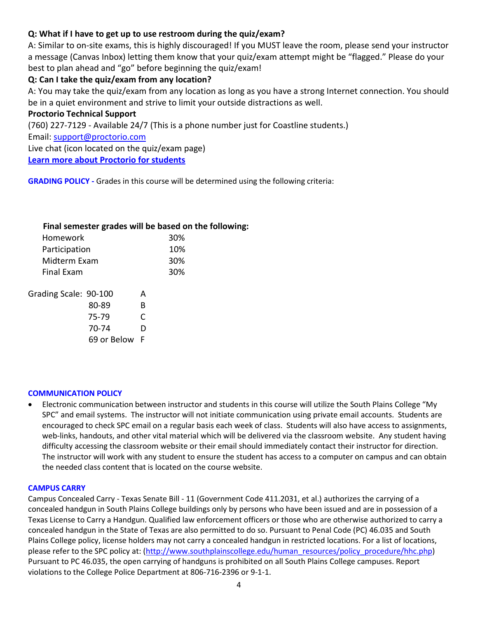# **Q: What if I have to get up to use restroom during the quiz/exam?**

A: Similar to on-site exams, this is highly discouraged! If you MUST leave the room, please send your instructor a message (Canvas Inbox) letting them know that your quiz/exam attempt might be "flagged." Please do your best to plan ahead and "go" before beginning the quiz/exam!

# **Q: Can I take the quiz/exam from any location?**

A: You may take the quiz/exam from any location as long as you have a strong Internet connection. You should be in a quiet environment and strive to limit your outside distractions as well.

## **Proctorio Technical Support**

(760) 227-7129 - Available 24/7 (This is a phone number just for Coastline students.) Email: [support@proctorio.com](mailto:support@proctorio.com) Live chat (icon located on the quiz/exam page) **[Learn more about Proctorio for students](https://proctorio.com/students)**

**GRADING POLICY -** Grades in this course will be determined using the following criteria:

## **Final semester grades will be based on the following:**

| Homework              | 30% |  |
|-----------------------|-----|--|
| Participation         | 10% |  |
| Midterm Exam          | 30% |  |
| <b>Final Exam</b>     | 30% |  |
| Grading Scale: 90-100 |     |  |

| OTUUTTIA JUUTUI JU 100 |               | <b>11</b> |  |
|------------------------|---------------|-----------|--|
|                        | 80-89         | B         |  |
|                        | 75-79         | C         |  |
|                        | 70-74         | D         |  |
|                        | 69 or Below F |           |  |

### **COMMUNICATION POLICY**

• Electronic communication between instructor and students in this course will utilize the South Plains College "My SPC" and email systems. The instructor will not initiate communication using private email accounts. Students are encouraged to check SPC email on a regular basis each week of class. Students will also have access to assignments, web-links, handouts, and other vital material which will be delivered via the classroom website. Any student having difficulty accessing the classroom website or their email should immediately contact their instructor for direction. The instructor will work with any student to ensure the student has access to a computer on campus and can obtain the needed class content that is located on the course website.

### **CAMPUS CARRY**

Campus Concealed Carry - Texas Senate Bill - 11 (Government Code 411.2031, et al.) authorizes the carrying of a concealed handgun in South Plains College buildings only by persons who have been issued and are in possession of a Texas License to Carry a Handgun. Qualified law enforcement officers or those who are otherwise authorized to carry a concealed handgun in the State of Texas are also permitted to do so. Pursuant to Penal Code (PC) 46.035 and South Plains College policy, license holders may not carry a concealed handgun in restricted locations. For a list of locations, please refer to the SPC policy at: [\(http://www.southplainscollege.edu/human\\_resources/policy\\_procedure/hhc.php\)](http://www.southplainscollege.edu/human_resources/policy_procedure/hhc.php) Pursuant to PC 46.035, the open carrying of handguns is prohibited on all South Plains College campuses. Report violations to the College Police Department at 806-716-2396 or 9-1-1.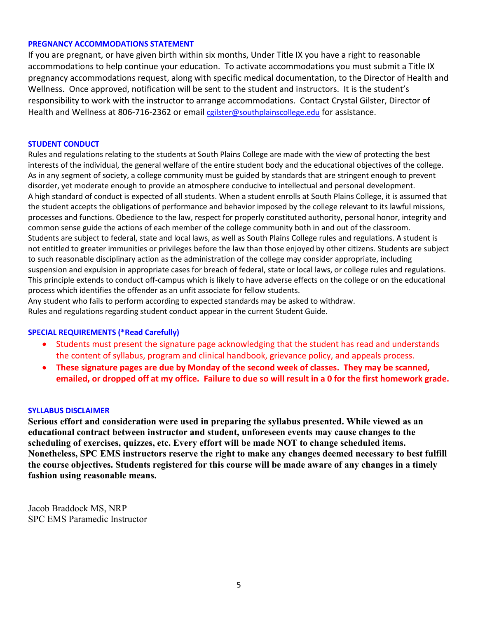### **PREGNANCY ACCOMMODATIONS STATEMENT**

If you are pregnant, or have given birth within six months, Under Title IX you have a right to reasonable accommodations to help continue your education. To activate accommodations you must submit a Title IX pregnancy accommodations request, along with specific medical documentation, to the Director of Health and Wellness. Once approved, notification will be sent to the student and instructors. It is the student's responsibility to work with the instructor to arrange accommodations. Contact Crystal Gilster, Director of Health and Wellness at 806-716-2362 or email [cgilster@southplainscollege.edu](mailto:cgilster@southplainscollege.edu) for assistance.

### **STUDENT CONDUCT**

Rules and regulations relating to the students at South Plains College are made with the view of protecting the best interests of the individual, the general welfare of the entire student body and the educational objectives of the college. As in any segment of society, a college community must be guided by standards that are stringent enough to prevent disorder, yet moderate enough to provide an atmosphere conducive to intellectual and personal development. A high standard of conduct is expected of all students. When a student enrolls at South Plains College, it is assumed that the student accepts the obligations of performance and behavior imposed by the college relevant to its lawful missions, processes and functions. Obedience to the law, respect for properly constituted authority, personal honor, integrity and common sense guide the actions of each member of the college community both in and out of the classroom. Students are subject to federal, state and local laws, as well as South Plains College rules and regulations. A student is not entitled to greater immunities or privileges before the law than those enjoyed by other citizens. Students are subject to such reasonable disciplinary action as the administration of the college may consider appropriate, including suspension and expulsion in appropriate cases for breach of federal, state or local laws, or college rules and regulations. This principle extends to conduct off-campus which is likely to have adverse effects on the college or on the educational process which identifies the offender as an unfit associate for fellow students.

Any student who fails to perform according to expected standards may be asked to withdraw. Rules and regulations regarding student conduct appear in the current Student Guide.

### **SPECIAL REQUIREMENTS (\*Read Carefully)**

- Students must present the signature page acknowledging that the student has read and understands the content of syllabus, program and clinical handbook, grievance policy, and appeals process.
- **These signature pages are due by Monday of the second week of classes. They may be scanned, emailed, or dropped off at my office. Failure to due so will result in a 0 for the first homework grade.**

#### **SYLLABUS DISCLAIMER**

**Serious effort and consideration were used in preparing the syllabus presented. While viewed as an educational contract between instructor and student, unforeseen events may cause changes to the scheduling of exercises, quizzes, etc. Every effort will be made NOT to change scheduled items. Nonetheless, SPC EMS instructors reserve the right to make any changes deemed necessary to best fulfill the course objectives. Students registered for this course will be made aware of any changes in a timely fashion using reasonable means.** 

Jacob Braddock MS, NRP SPC EMS Paramedic Instructor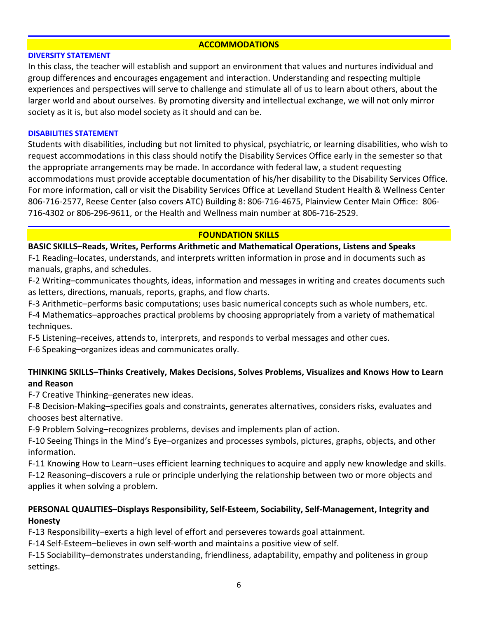### **ACCOMMODATIONS**

### **DIVERSITY STATEMENT**

In this class, the teacher will establish and support an environment that values and nurtures individual and group differences and encourages engagement and interaction. Understanding and respecting multiple experiences and perspectives will serve to challenge and stimulate all of us to learn about others, about the larger world and about ourselves. By promoting diversity and intellectual exchange, we will not only mirror society as it is, but also model society as it should and can be.

### **DISABILITIES STATEMENT**

Students with disabilities, including but not limited to physical, psychiatric, or learning disabilities, who wish to request accommodations in this class should notify the Disability Services Office early in the semester so that the appropriate arrangements may be made. In accordance with federal law, a student requesting accommodations must provide acceptable documentation of his/her disability to the Disability Services Office. For more information, call or visit the Disability Services Office at Levelland Student Health & Wellness Center 806-716-2577, Reese Center (also covers ATC) Building 8: 806-716-4675, Plainview Center Main Office: 806- 716-4302 or 806-296-9611, or the Health and Wellness main number at 806-716-2529.

### **FOUNDATION SKILLS**

### **BASIC SKILLS–Reads, Writes, Performs Arithmetic and Mathematical Operations, Listens and Speaks**

F-1 Reading–locates, understands, and interprets written information in prose and in documents such as manuals, graphs, and schedules.

F-2 Writing–communicates thoughts, ideas, information and messages in writing and creates documents such as letters, directions, manuals, reports, graphs, and flow charts.

F-3 Arithmetic–performs basic computations; uses basic numerical concepts such as whole numbers, etc.

F-4 Mathematics–approaches practical problems by choosing appropriately from a variety of mathematical techniques.

F-5 Listening–receives, attends to, interprets, and responds to verbal messages and other cues.

F-6 Speaking–organizes ideas and communicates orally.

# **THINKING SKILLS–Thinks Creatively, Makes Decisions, Solves Problems, Visualizes and Knows How to Learn and Reason**

F-7 Creative Thinking–generates new ideas.

F-8 Decision-Making–specifies goals and constraints, generates alternatives, considers risks, evaluates and chooses best alternative.

F-9 Problem Solving–recognizes problems, devises and implements plan of action.

F-10 Seeing Things in the Mind's Eye–organizes and processes symbols, pictures, graphs, objects, and other information.

F-11 Knowing How to Learn–uses efficient learning techniques to acquire and apply new knowledge and skills. F-12 Reasoning–discovers a rule or principle underlying the relationship between two or more objects and applies it when solving a problem.

# **PERSONAL QUALITIES–Displays Responsibility, Self-Esteem, Sociability, Self-Management, Integrity and Honesty**

F-13 Responsibility–exerts a high level of effort and perseveres towards goal attainment.

F-14 Self-Esteem–believes in own self-worth and maintains a positive view of self.

F-15 Sociability–demonstrates understanding, friendliness, adaptability, empathy and politeness in group settings.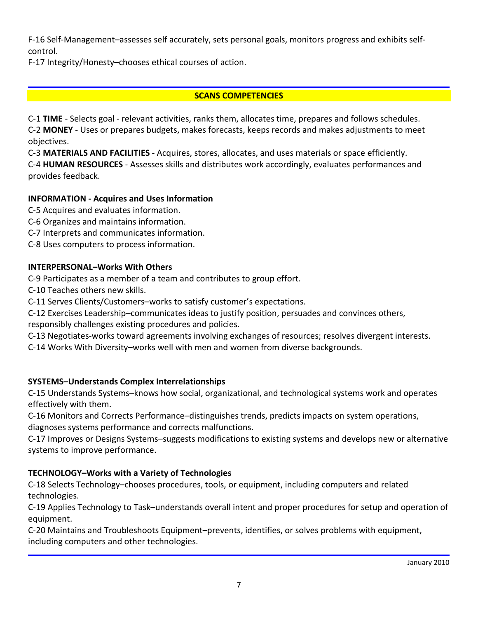F-16 Self-Management–assesses self accurately, sets personal goals, monitors progress and exhibits selfcontrol.

F-17 Integrity/Honesty–chooses ethical courses of action.

# **SCANS COMPETENCIES**

C-1 **TIME** - Selects goal - relevant activities, ranks them, allocates time, prepares and follows schedules. C-2 **MONEY** - Uses or prepares budgets, makes forecasts, keeps records and makes adjustments to meet objectives.

C-3 **MATERIALS AND FACILITIES** - Acquires, stores, allocates, and uses materials or space efficiently. C-4 **HUMAN RESOURCES** - Assesses skills and distributes work accordingly, evaluates performances and provides feedback.

# **INFORMATION - Acquires and Uses Information**

- C-5 Acquires and evaluates information.
- C-6 Organizes and maintains information.
- C-7 Interprets and communicates information.
- C-8 Uses computers to process information.

# **INTERPERSONAL–Works With Others**

C-9 Participates as a member of a team and contributes to group effort.

- C-10 Teaches others new skills.
- C-11 Serves Clients/Customers–works to satisfy customer's expectations.
- C-12 Exercises Leadership–communicates ideas to justify position, persuades and convinces others,

responsibly challenges existing procedures and policies.

C-13 Negotiates-works toward agreements involving exchanges of resources; resolves divergent interests.

C-14 Works With Diversity–works well with men and women from diverse backgrounds.

# **SYSTEMS–Understands Complex Interrelationships**

C-15 Understands Systems–knows how social, organizational, and technological systems work and operates effectively with them.

C-16 Monitors and Corrects Performance–distinguishes trends, predicts impacts on system operations, diagnoses systems performance and corrects malfunctions.

C-17 Improves or Designs Systems–suggests modifications to existing systems and develops new or alternative systems to improve performance.

# **TECHNOLOGY–Works with a Variety of Technologies**

C-18 Selects Technology–chooses procedures, tools, or equipment, including computers and related technologies.

C-19 Applies Technology to Task–understands overall intent and proper procedures for setup and operation of equipment.

C-20 Maintains and Troubleshoots Equipment–prevents, identifies, or solves problems with equipment, including computers and other technologies.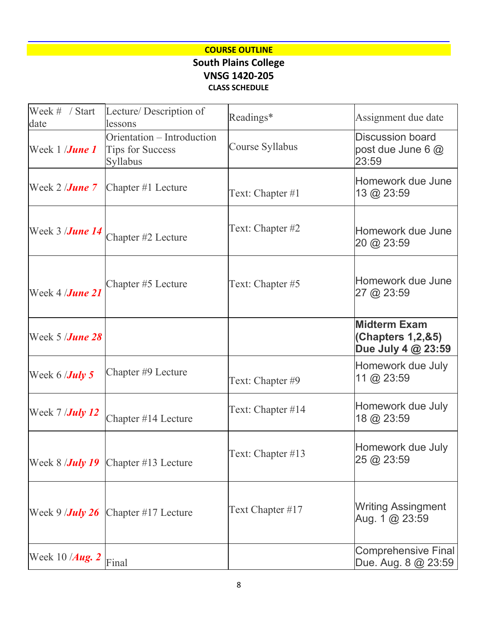# **COURSE OUTLINE South Plains College VNSG 1420-205 CLASS SCHEDULE**

| Week # / Start<br>date         | Lecture/Description of<br>lessons                                 | Readings*         | Assignment due date                                            |
|--------------------------------|-------------------------------------------------------------------|-------------------|----------------------------------------------------------------|
| Week 1 / <b>June 1</b>         | Orientation – Introduction<br><b>Tips for Success</b><br>Syllabus | Course Syllabus   | <b>Discussion board</b><br>post due June 6 @<br>23:59          |
| Week 2 / <b>June 7</b>         | Chapter #1 Lecture                                                | Text: Chapter #1  | Homework due June<br>13 @ 23:59                                |
| Week 3 / <b>June 14</b>        | Chapter #2 Lecture                                                | Text: Chapter #2  | Homework due June<br>20 @ 23:59                                |
| Week 4 <i>  <b>June 21</b></i> | Chapter #5 Lecture                                                | Text: Chapter #5  | Homework due June<br>27 @ 23:59                                |
| Week 5 / <b>June 28</b>        |                                                                   |                   | <b>Midterm Exam</b><br>(Chapters 1,2,&5)<br>Due July 4 @ 23:59 |
| Week 6 / <b>July 5</b>         | Chapter #9 Lecture                                                | Text: Chapter #9  | Homework due July<br>11 @ $23:59$                              |
| Week 7 / <b>July 12</b>        | Chapter #14 Lecture                                               | Text: Chapter #14 | Homework due July<br>18 @ 23:59                                |
| Week 8 / <b>July 19</b>        | Chapter #13 Lecture                                               | Text: Chapter #13 | Homework due July<br>25 @ 23:59                                |
| Week 9 / <b>July 26</b>        | Chapter #17 Lecture                                               | Text Chapter #17  | <b>Writing Assingment</b><br>Aug. 1 @ 23:59                    |
| Week 10 /Aug. 2                | Final                                                             |                   | <b>Comprehensive Final</b><br>Due. Aug. 8 @ 23:59              |